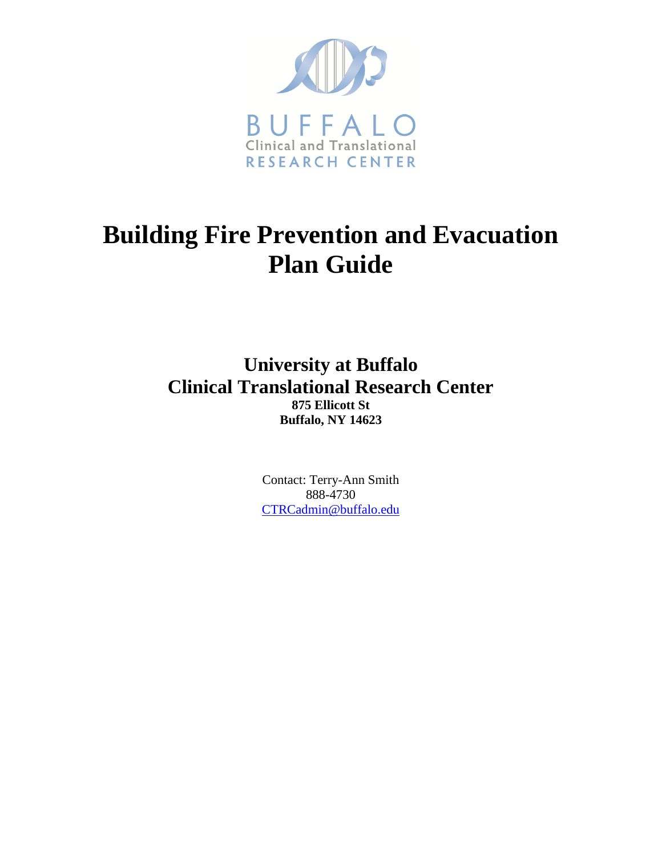

## **Building Fire Prevention and Evacuation Plan Guide**

**University at Buffalo Clinical Translational Research Center 875 Ellicott St Buffalo, NY 14623**

> Contact: Terry-Ann Smith 888-4730 [CTRCadmin@buffalo.edu](mailto:CTRCadmin@buffalo.edu)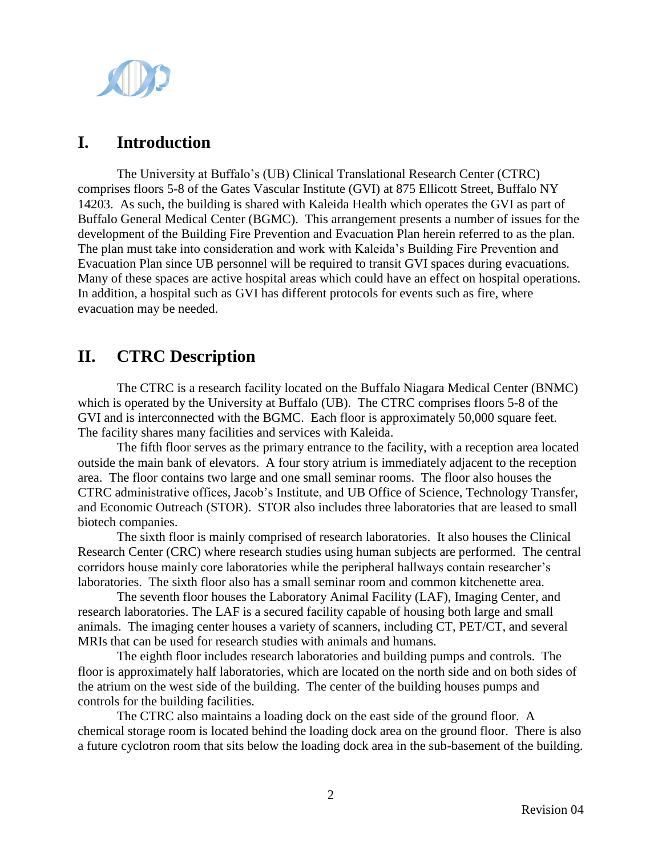

## **I. Introduction**

The University at Buffalo's (UB) Clinical Translational Research Center (CTRC) comprises floors 5-8 of the Gates Vascular Institute (GVI) at 875 Ellicott Street, Buffalo NY 14203. As such, the building is shared with Kaleida Health which operates the GVI as part of Buffalo General Medical Center (BGMC). This arrangement presents a number of issues for the development of the Building Fire Prevention and Evacuation Plan herein referred to as the plan. The plan must take into consideration and work with Kaleida's Building Fire Prevention and Evacuation Plan since UB personnel will be required to transit GVI spaces during evacuations. Many of these spaces are active hospital areas which could have an effect on hospital operations. In addition, a hospital such as GVI has different protocols for events such as fire, where evacuation may be needed.

## **II. CTRC Description**

The CTRC is a research facility located on the Buffalo Niagara Medical Center (BNMC) which is operated by the University at Buffalo (UB). The CTRC comprises floors 5-8 of the GVI and is interconnected with the BGMC. Each floor is approximately 50,000 square feet. The facility shares many facilities and services with Kaleida.

The fifth floor serves as the primary entrance to the facility, with a reception area located outside the main bank of elevators. A four story atrium is immediately adjacent to the reception area. The floor contains two large and one small seminar rooms. The floor also houses the CTRC administrative offices, Jacob's Institute, and UB Office of Science, Technology Transfer, and Economic Outreach (STOR). STOR also includes three laboratories that are leased to small biotech companies.

The sixth floor is mainly comprised of research laboratories. It also houses the Clinical Research Center (CRC) where research studies using human subjects are performed. The central corridors house mainly core laboratories while the peripheral hallways contain researcher's laboratories. The sixth floor also has a small seminar room and common kitchenette area.

The seventh floor houses the Laboratory Animal Facility (LAF), Imaging Center, and research laboratories. The LAF is a secured facility capable of housing both large and small animals. The imaging center houses a variety of scanners, including CT, PET/CT, and several MRIs that can be used for research studies with animals and humans.

The eighth floor includes research laboratories and building pumps and controls. The floor is approximately half laboratories, which are located on the north side and on both sides of the atrium on the west side of the building. The center of the building houses pumps and controls for the building facilities.

The CTRC also maintains a loading dock on the east side of the ground floor. A chemical storage room is located behind the loading dock area on the ground floor. There is also a future cyclotron room that sits below the loading dock area in the sub-basement of the building.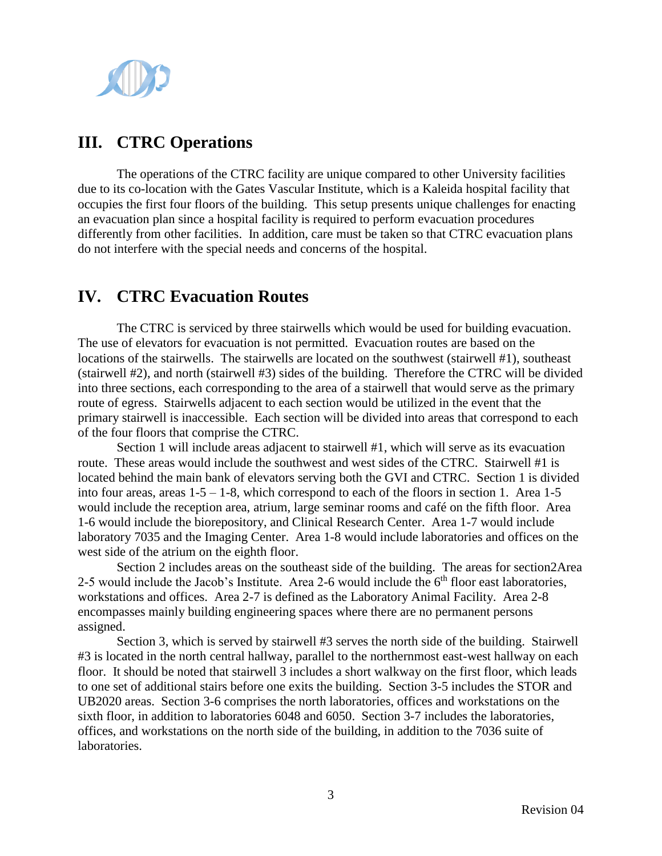

## **III. CTRC Operations**

The operations of the CTRC facility are unique compared to other University facilities due to its co-location with the Gates Vascular Institute, which is a Kaleida hospital facility that occupies the first four floors of the building. This setup presents unique challenges for enacting an evacuation plan since a hospital facility is required to perform evacuation procedures differently from other facilities. In addition, care must be taken so that CTRC evacuation plans do not interfere with the special needs and concerns of the hospital.

## **IV. CTRC Evacuation Routes**

The CTRC is serviced by three stairwells which would be used for building evacuation. The use of elevators for evacuation is not permitted. Evacuation routes are based on the locations of the stairwells. The stairwells are located on the southwest (stairwell #1), southeast (stairwell #2), and north (stairwell #3) sides of the building. Therefore the CTRC will be divided into three sections, each corresponding to the area of a stairwell that would serve as the primary route of egress. Stairwells adjacent to each section would be utilized in the event that the primary stairwell is inaccessible. Each section will be divided into areas that correspond to each of the four floors that comprise the CTRC.

Section 1 will include areas adjacent to stairwell #1, which will serve as its evacuation route. These areas would include the southwest and west sides of the CTRC. Stairwell #1 is located behind the main bank of elevators serving both the GVI and CTRC. Section 1 is divided into four areas, areas  $1-5-1-8$ , which correspond to each of the floors in section 1. Area  $1-5$ would include the reception area, atrium, large seminar rooms and café on the fifth floor. Area 1-6 would include the biorepository, and Clinical Research Center. Area 1-7 would include laboratory 7035 and the Imaging Center. Area 1-8 would include laboratories and offices on the west side of the atrium on the eighth floor.

Section 2 includes areas on the southeast side of the building. The areas for section2Area 2-5 would include the Jacob's Institute. Area 2-6 would include the  $6<sup>th</sup>$  floor east laboratories, workstations and offices. Area 2-7 is defined as the Laboratory Animal Facility. Area 2-8 encompasses mainly building engineering spaces where there are no permanent persons assigned.

Section 3, which is served by stairwell #3 serves the north side of the building. Stairwell #3 is located in the north central hallway, parallel to the northernmost east-west hallway on each floor. It should be noted that stairwell 3 includes a short walkway on the first floor, which leads to one set of additional stairs before one exits the building. Section 3-5 includes the STOR and UB2020 areas. Section 3-6 comprises the north laboratories, offices and workstations on the sixth floor, in addition to laboratories 6048 and 6050. Section 3-7 includes the laboratories, offices, and workstations on the north side of the building, in addition to the 7036 suite of laboratories.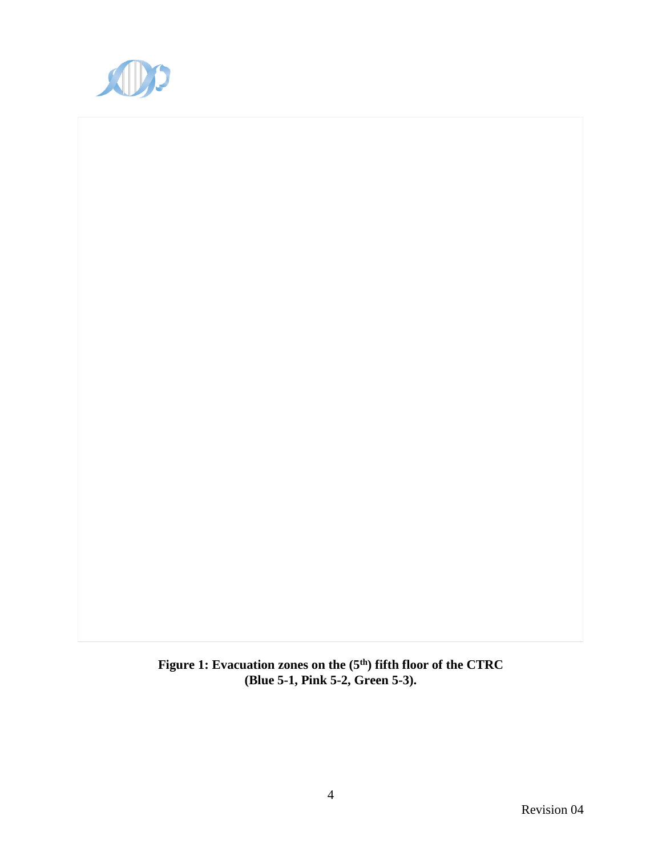

**Figure 1: Evacuation zones on the (5th) fifth floor of the CTRC (Blue 5-1, Pink 5-2, Green 5-3).**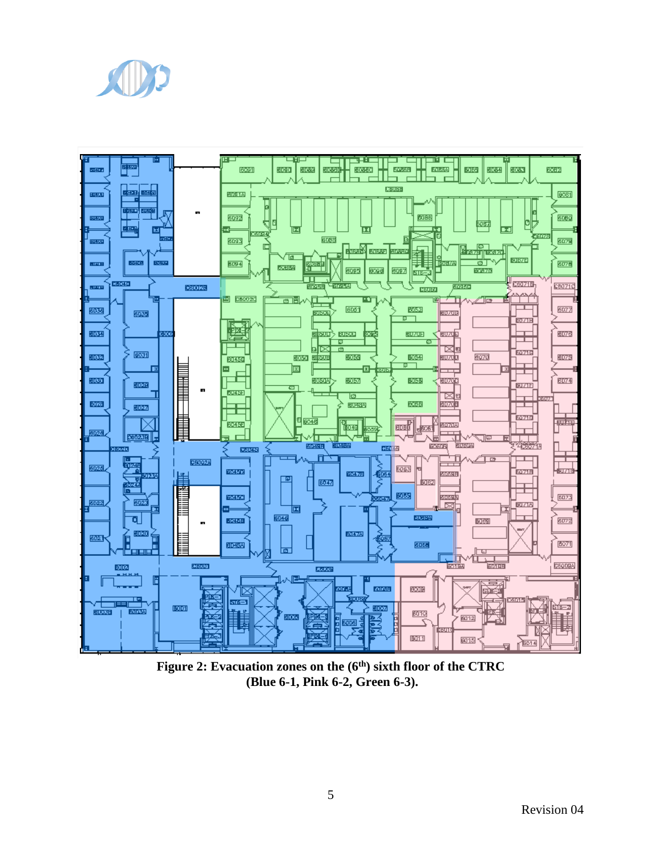



**Figure 2: Evacuation zones on the (6th) sixth floor of the CTRC (Blue 6-1, Pink 6-2, Green 6-3).**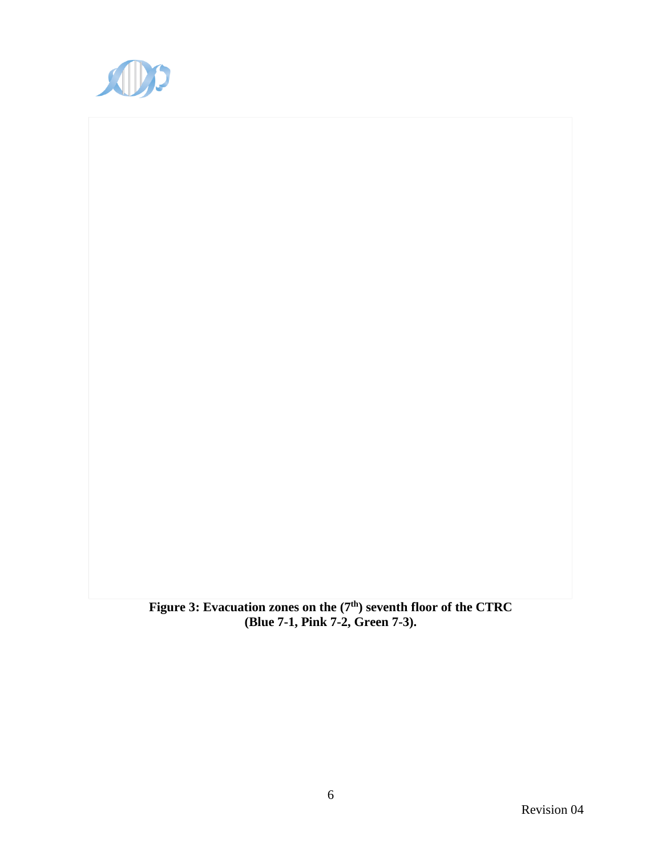

**Figure 3: Evacuation zones on the (7th) seventh floor of the CTRC (Blue 7-1, Pink 7-2, Green 7-3).**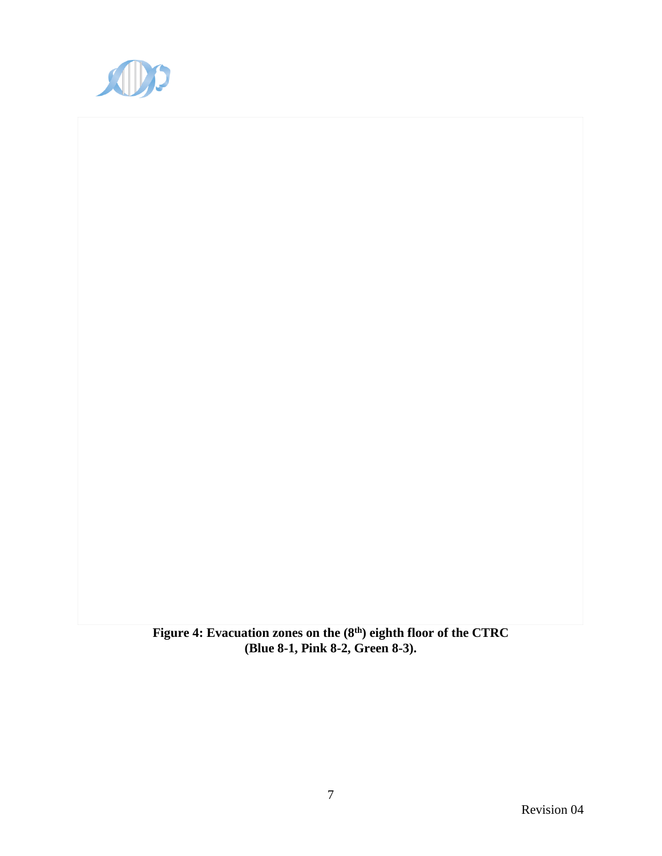

**Figure 4: Evacuation zones on the (8th) eighth floor of the CTRC (Blue 8-1, Pink 8-2, Green 8-3).**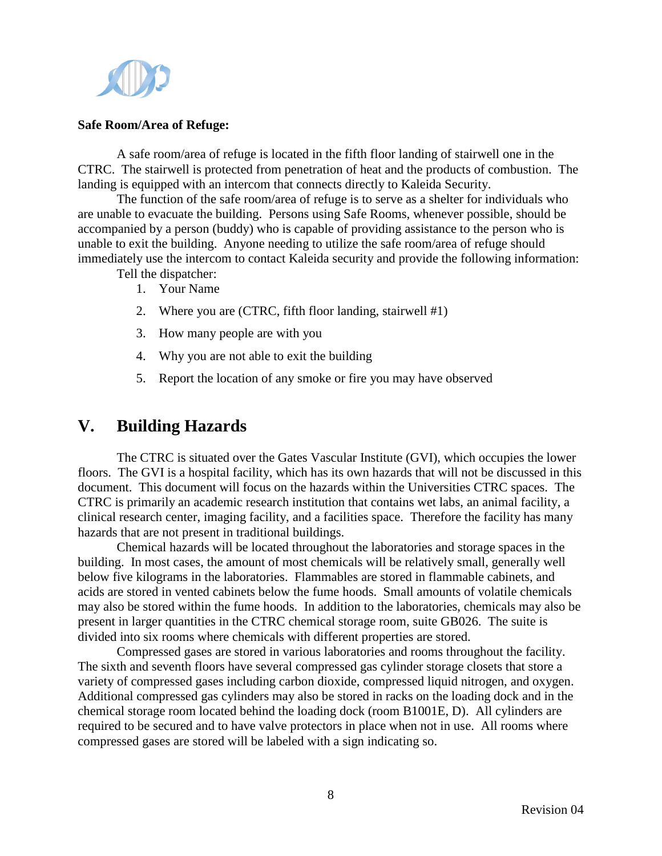

#### **Safe Room/Area of Refuge:**

A safe room/area of refuge is located in the fifth floor landing of stairwell one in the CTRC. The stairwell is protected from penetration of heat and the products of combustion. The landing is equipped with an intercom that connects directly to Kaleida Security.

The function of the safe room/area of refuge is to serve as a shelter for individuals who are unable to evacuate the building. Persons using Safe Rooms, whenever possible, should be accompanied by a person (buddy) who is capable of providing assistance to the person who is unable to exit the building. Anyone needing to utilize the safe room/area of refuge should immediately use the intercom to contact Kaleida security and provide the following information:

Tell the dispatcher:

- 1. Your Name
- 2. Where you are (CTRC, fifth floor landing, stairwell #1)
- 3. How many people are with you
- 4. Why you are not able to exit the building
- 5. Report the location of any smoke or fire you may have observed

## **V. Building Hazards**

The CTRC is situated over the Gates Vascular Institute (GVI), which occupies the lower floors. The GVI is a hospital facility, which has its own hazards that will not be discussed in this document. This document will focus on the hazards within the Universities CTRC spaces. The CTRC is primarily an academic research institution that contains wet labs, an animal facility, a clinical research center, imaging facility, and a facilities space. Therefore the facility has many hazards that are not present in traditional buildings.

Chemical hazards will be located throughout the laboratories and storage spaces in the building. In most cases, the amount of most chemicals will be relatively small, generally well below five kilograms in the laboratories. Flammables are stored in flammable cabinets, and acids are stored in vented cabinets below the fume hoods. Small amounts of volatile chemicals may also be stored within the fume hoods. In addition to the laboratories, chemicals may also be present in larger quantities in the CTRC chemical storage room, suite GB026. The suite is divided into six rooms where chemicals with different properties are stored.

Compressed gases are stored in various laboratories and rooms throughout the facility. The sixth and seventh floors have several compressed gas cylinder storage closets that store a variety of compressed gases including carbon dioxide, compressed liquid nitrogen, and oxygen. Additional compressed gas cylinders may also be stored in racks on the loading dock and in the chemical storage room located behind the loading dock (room B1001E, D). All cylinders are required to be secured and to have valve protectors in place when not in use. All rooms where compressed gases are stored will be labeled with a sign indicating so.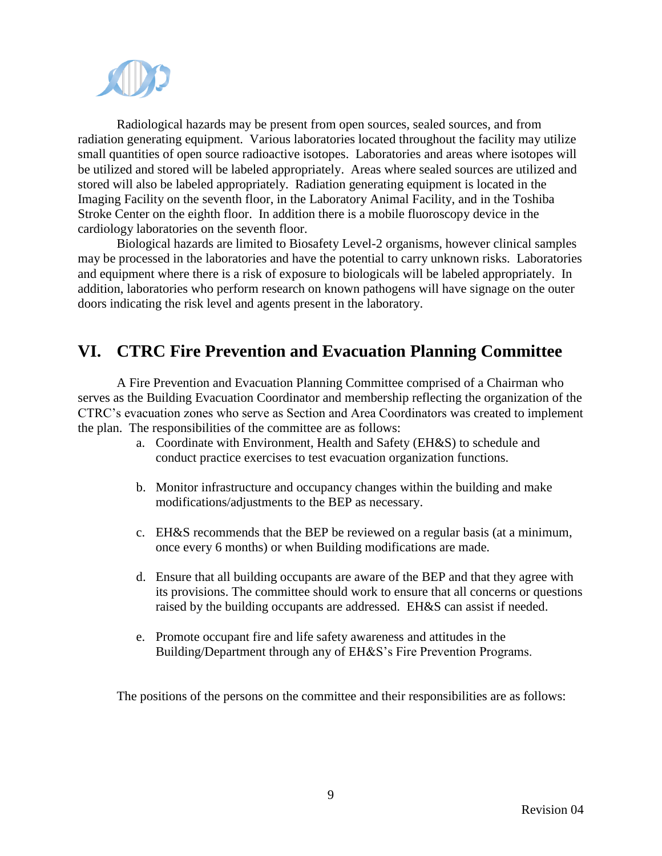

Radiological hazards may be present from open sources, sealed sources, and from radiation generating equipment. Various laboratories located throughout the facility may utilize small quantities of open source radioactive isotopes. Laboratories and areas where isotopes will be utilized and stored will be labeled appropriately. Areas where sealed sources are utilized and stored will also be labeled appropriately. Radiation generating equipment is located in the Imaging Facility on the seventh floor, in the Laboratory Animal Facility, and in the Toshiba Stroke Center on the eighth floor. In addition there is a mobile fluoroscopy device in the cardiology laboratories on the seventh floor.

Biological hazards are limited to Biosafety Level-2 organisms, however clinical samples may be processed in the laboratories and have the potential to carry unknown risks. Laboratories and equipment where there is a risk of exposure to biologicals will be labeled appropriately. In addition, laboratories who perform research on known pathogens will have signage on the outer doors indicating the risk level and agents present in the laboratory.

## **VI. CTRC Fire Prevention and Evacuation Planning Committee**

A Fire Prevention and Evacuation Planning Committee comprised of a Chairman who serves as the Building Evacuation Coordinator and membership reflecting the organization of the CTRC's evacuation zones who serve as Section and Area Coordinators was created to implement the plan. The responsibilities of the committee are as follows:

- a. Coordinate with Environment, Health and Safety (EH&S) to schedule and conduct practice exercises to test evacuation organization functions.
- b. Monitor infrastructure and occupancy changes within the building and make modifications/adjustments to the BEP as necessary.
- c. EH&S recommends that the BEP be reviewed on a regular basis (at a minimum, once every 6 months) or when Building modifications are made.
- d. Ensure that all building occupants are aware of the BEP and that they agree with its provisions. The committee should work to ensure that all concerns or questions raised by the building occupants are addressed. EH&S can assist if needed.
- e. Promote occupant fire and life safety awareness and attitudes in the Building/Department through any of EH&S's Fire Prevention Programs.

The positions of the persons on the committee and their responsibilities are as follows: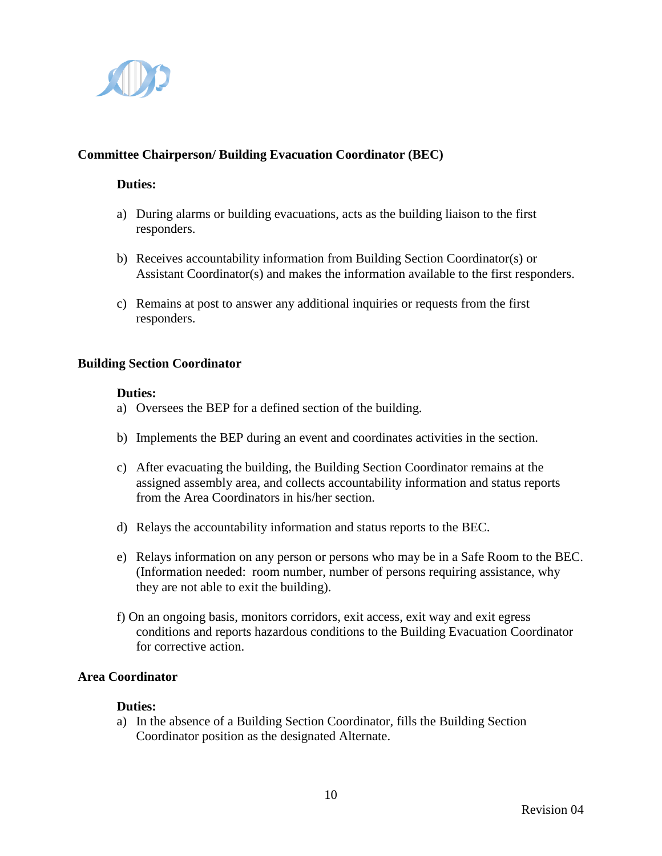

#### **Committee Chairperson/ Building Evacuation Coordinator (BEC)**

#### **Duties:**

- a) During alarms or building evacuations, acts as the building liaison to the first responders.
- b) Receives accountability information from Building Section Coordinator(s) or Assistant Coordinator(s) and makes the information available to the first responders.
- c) Remains at post to answer any additional inquiries or requests from the first responders.

#### **Building Section Coordinator**

#### **Duties:**

- a) Oversees the BEP for a defined section of the building.
- b) Implements the BEP during an event and coordinates activities in the section.
- c) After evacuating the building, the Building Section Coordinator remains at the assigned assembly area, and collects accountability information and status reports from the Area Coordinators in his/her section.
- d) Relays the accountability information and status reports to the BEC.
- e) Relays information on any person or persons who may be in a Safe Room to the BEC. (Information needed: room number, number of persons requiring assistance, why they are not able to exit the building).
- f) On an ongoing basis, monitors corridors, exit access, exit way and exit egress conditions and reports hazardous conditions to the Building Evacuation Coordinator for corrective action.

#### **Area Coordinator**

#### **Duties:**

a) In the absence of a Building Section Coordinator, fills the Building Section Coordinator position as the designated Alternate.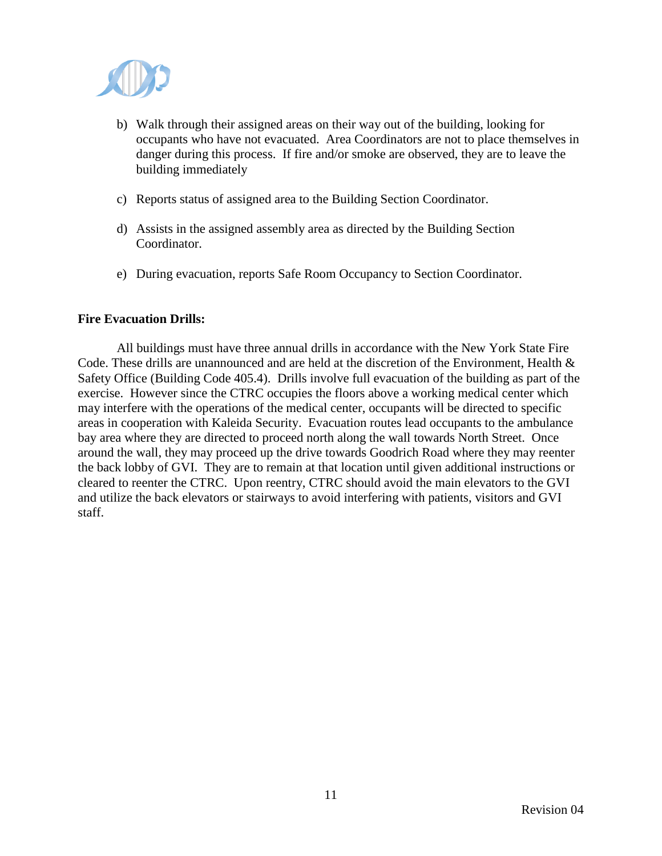

- b) Walk through their assigned areas on their way out of the building, looking for occupants who have not evacuated. Area Coordinators are not to place themselves in danger during this process. If fire and/or smoke are observed, they are to leave the building immediately
- c) Reports status of assigned area to the Building Section Coordinator.
- d) Assists in the assigned assembly area as directed by the Building Section Coordinator.
- e) During evacuation, reports Safe Room Occupancy to Section Coordinator.

#### **Fire Evacuation Drills:**

All buildings must have three annual drills in accordance with the New York State Fire Code. These drills are unannounced and are held at the discretion of the Environment, Health & Safety Office (Building Code 405.4). Drills involve full evacuation of the building as part of the exercise. However since the CTRC occupies the floors above a working medical center which may interfere with the operations of the medical center, occupants will be directed to specific areas in cooperation with Kaleida Security. Evacuation routes lead occupants to the ambulance bay area where they are directed to proceed north along the wall towards North Street. Once around the wall, they may proceed up the drive towards Goodrich Road where they may reenter the back lobby of GVI. They are to remain at that location until given additional instructions or cleared to reenter the CTRC. Upon reentry, CTRC should avoid the main elevators to the GVI and utilize the back elevators or stairways to avoid interfering with patients, visitors and GVI staff.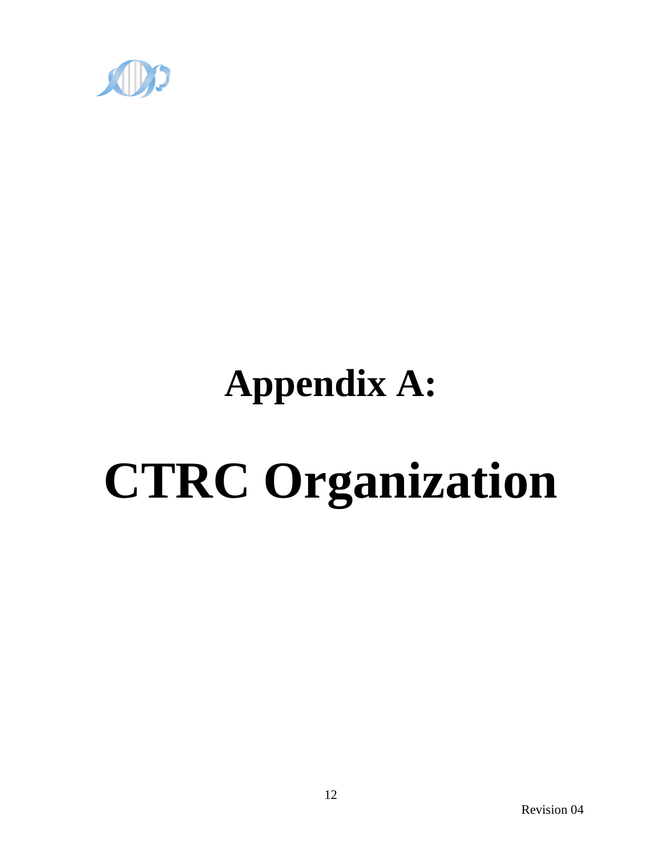

## **Appendix A:**

# **CTRC Organization**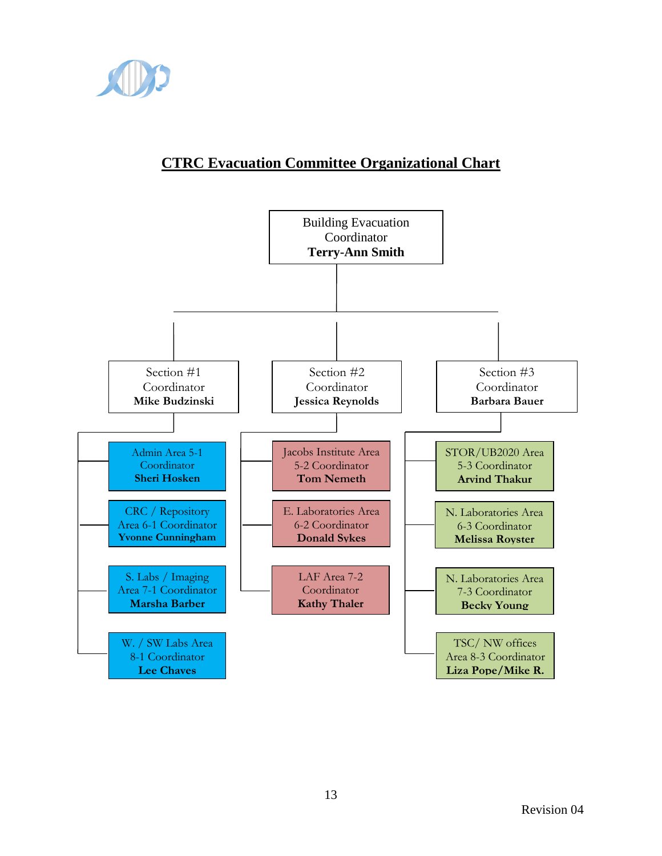

## **CTRC Evacuation Committee Organizational Chart**

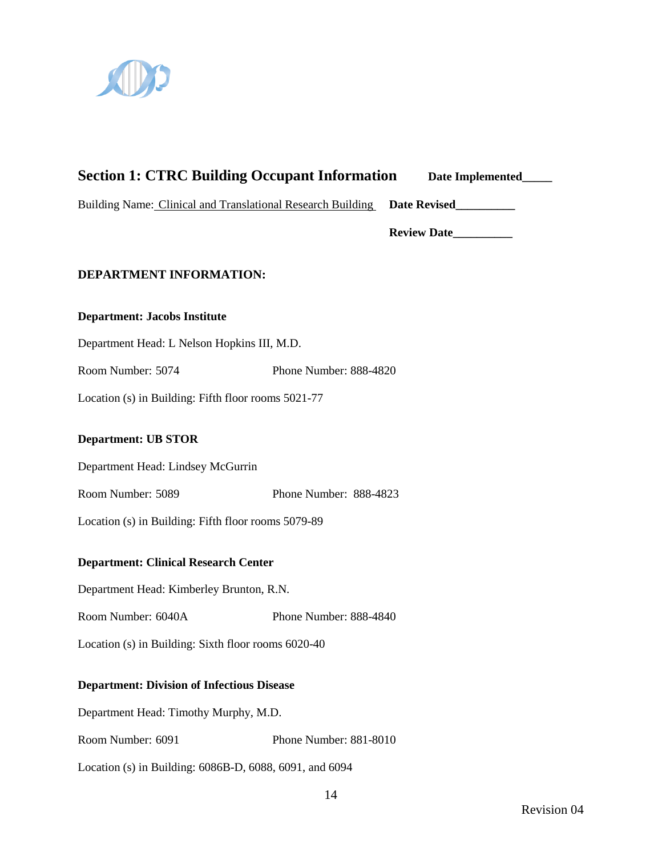

### **Section 1: CTRC Building Occupant Information Date Implemented\_\_\_\_\_**

Building Name: Clinical and Translational Research Building **Date Revised\_\_\_\_\_\_\_\_\_\_**

**Review Date\_\_\_\_\_\_\_\_\_\_**

#### **DEPARTMENT INFORMATION:**

#### **Department: Jacobs Institute**

Department Head: L Nelson Hopkins III, M.D.

Room Number: 5074 Phone Number: 888-4820

Location (s) in Building: Fifth floor rooms 5021-77

#### **Department: UB STOR**

Department Head: Lindsey McGurrin

Room Number: 5089 Phone Number: 888-4823

Location (s) in Building: Fifth floor rooms 5079-89

#### **Department: Clinical Research Center**

Department Head: Kimberley Brunton, R.N.

Room Number: 6040A Phone Number: 888-4840

Location (s) in Building: Sixth floor rooms 6020-40

#### **Department: Division of Infectious Disease**

Department Head: Timothy Murphy, M.D.

Room Number: 6091 Phone Number: 881-8010

Location (s) in Building: 6086B-D, 6088, 6091, and 6094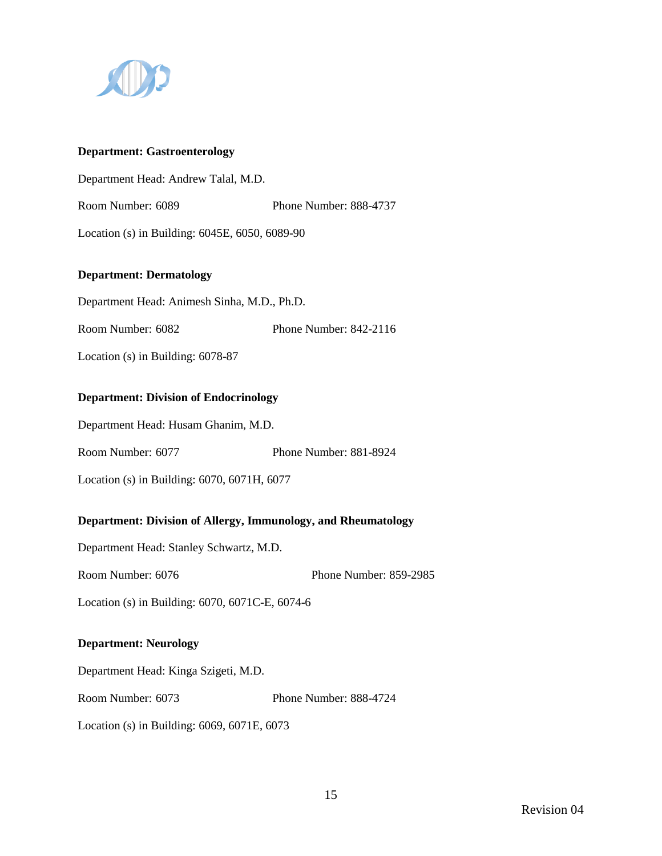

#### **Department: Gastroenterology**

Department Head: Andrew Talal, M.D.

Room Number: 6089 Phone Number: 888-4737

Location (s) in Building: 6045E, 6050, 6089-90

#### **Department: Dermatology**

Department Head: Animesh Sinha, M.D., Ph.D.

Room Number: 6082 Phone Number: 842-2116

Location (s) in Building: 6078-87

#### **Department: Division of Endocrinology**

Department Head: Husam Ghanim, M.D.

Room Number: 6077 Phone Number: 881-8924

Location (s) in Building: 6070, 6071H, 6077

#### **Department: Division of Allergy, Immunology, and Rheumatology**

Department Head: Stanley Schwartz, M.D.

Room Number: 6076 Phone Number: 859-2985

Location (s) in Building: 6070, 6071C-E, 6074-6

#### **Department: Neurology**

Department Head: Kinga Szigeti, M.D.

Room Number: 6073 Phone Number: 888-4724

Location (s) in Building: 6069, 6071E, 6073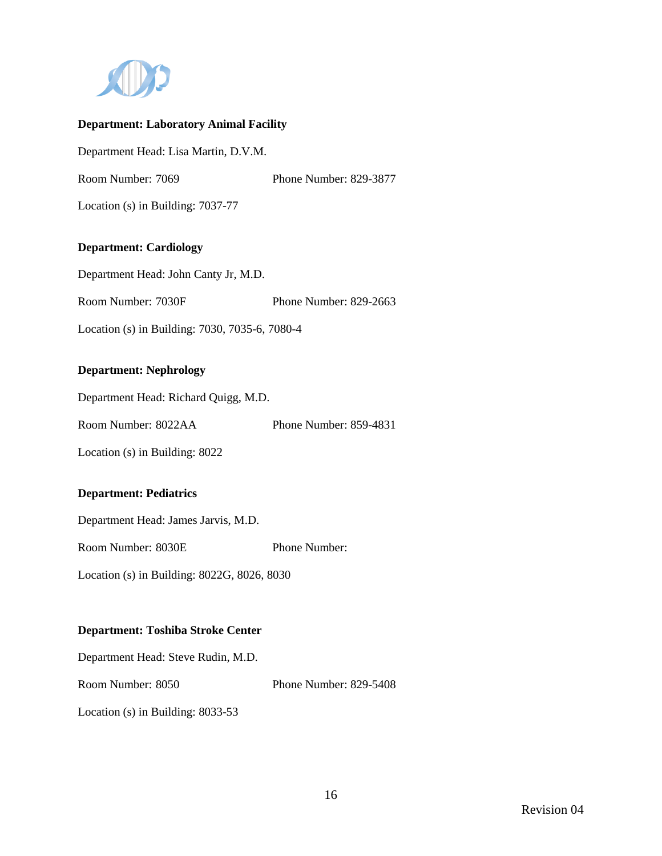

#### **Department: Laboratory Animal Facility**

Department Head: Lisa Martin, D.V.M.

Room Number: 7069 Phone Number: 829-3877

Location (s) in Building: 7037-77

#### **Department: Cardiology**

Department Head: John Canty Jr, M.D.

Room Number: 7030F Phone Number: 829-2663

Location (s) in Building: 7030, 7035-6, 7080-4

#### **Department: Nephrology**

Department Head: Richard Quigg, M.D.

Room Number: 8022AA Phone Number: 859-4831

Location (s) in Building: 8022

#### **Department: Pediatrics**

Department Head: James Jarvis, M.D.

Room Number: 8030E Phone Number:

Location (s) in Building: 8022G, 8026, 8030

#### **Department: Toshiba Stroke Center**

Department Head: Steve Rudin, M.D.

Room Number: 8050 Phone Number: 829-5408

Location (s) in Building: 8033-53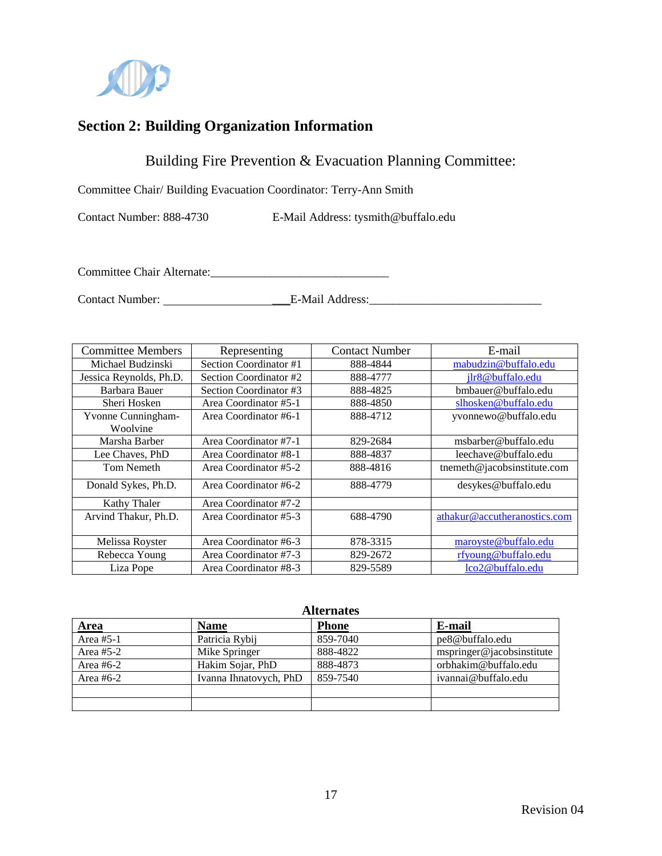

## **Section 2: Building Organization Information**

Building Fire Prevention & Evacuation Planning Committee:

Committee Chair/ Building Evacuation Coordinator: Terry-Ann Smith

Contact Number: 888-4730 E-Mail Address: tysmith@buffalo.edu

Committee Chair Alternate:\_\_\_\_\_\_\_\_\_\_\_\_\_\_\_\_\_\_\_\_\_\_\_\_\_\_\_\_\_\_

Contact Number: \_\_\_E-Mail Address:\_\_\_\_\_\_\_\_\_\_\_\_\_\_\_\_\_\_\_\_\_\_\_\_\_\_\_\_\_

| <b>Committee Members</b>              | Representing           | <b>Contact Number</b> | E-mail                       |
|---------------------------------------|------------------------|-----------------------|------------------------------|
| Michael Budzinski                     | Section Coordinator #1 | 888-4844              | mabudzin@buffalo.edu         |
| Jessica Reynolds, Ph.D.               | Section Coordinator #2 | 888-4777              | jlr8@buffalo.edu             |
| Barbara Bauer                         | Section Coordinator #3 | 888-4825              | bmbauer@buffalo.edu          |
| Sheri Hosken                          | Area Coordinator #5-1  | 888-4850              | slhosken@buffalo.edu         |
| <b>Yvonne Cunningham-</b><br>Woolvine | Area Coordinator #6-1  | 888-4712              | yvonnewo@buffalo.edu         |
| Marsha Barber                         | Area Coordinator #7-1  | 829-2684              | msbarber@buffalo.edu         |
| Lee Chaves, PhD                       | Area Coordinator #8-1  | 888-4837              | leechave@buffalo.edu         |
| Tom Nemeth                            | Area Coordinator #5-2  | 888-4816              | tnemeth@jacobsinstitute.com  |
| Donald Sykes, Ph.D.                   | Area Coordinator #6-2  | 888-4779              | desykes@buffalo.edu          |
| Kathy Thaler                          | Area Coordinator #7-2  |                       |                              |
| Arvind Thakur, Ph.D.                  | Area Coordinator #5-3  | 688-4790              | athakur@accutheranostics.com |
| Melissa Royster                       | Area Coordinator #6-3  | 878-3315              | maroyste@buffalo.edu         |
| Rebecca Young                         | Area Coordinator #7-3  | 829-2672              | rfyoung@buffalo.edu          |
| Liza Pope                             | Area Coordinator #8-3  | 829-5589              | lco2@buffalo.edu             |

| <b>Alternates</b> |                        |              |                           |  |
|-------------------|------------------------|--------------|---------------------------|--|
| Area              | <b>Name</b>            | <b>Phone</b> | E-mail                    |  |
| Area $#5-1$       | Patricia Rybij         | 859-7040     | pe8@buffalo.edu           |  |
| Area $#5-2$       | Mike Springer          | 888-4822     | mspringer@jacobsinstitute |  |
| Area $#6-2$       | Hakim Sojar, PhD       | 888-4873     | orbhakim@buffalo.edu      |  |
| Area $#6-2$       | Ivanna Ihnatovych, PhD | 859-7540     | ivannai@buffalo.edu       |  |
|                   |                        |              |                           |  |
|                   |                        |              |                           |  |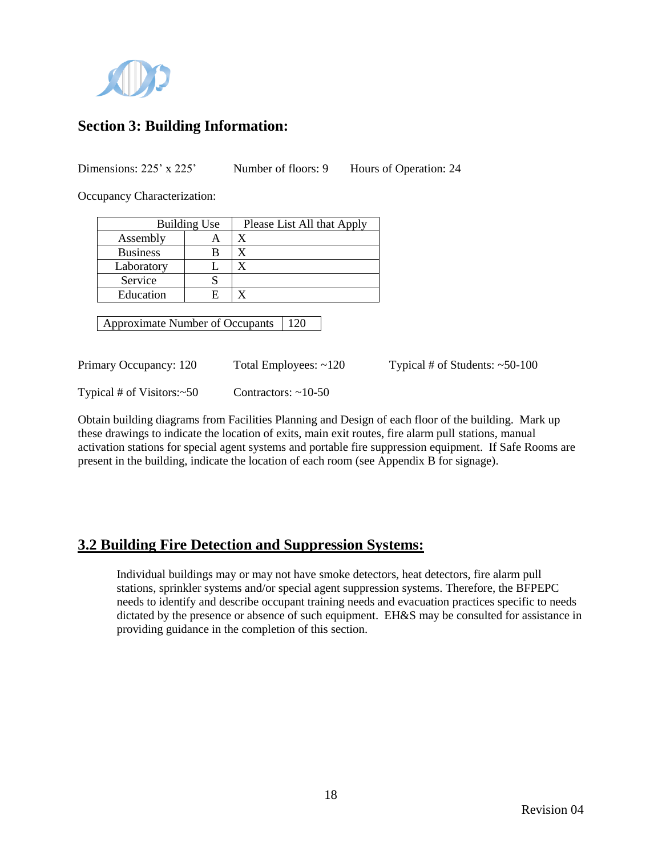

## **Section 3: Building Information:**

Dimensions: 225' x 225' Number of floors: 9 Hours of Operation: 24

Occupancy Characterization:

| <b>Building Use</b> |   | Please List All that Apply |
|---------------------|---|----------------------------|
| Assembly            |   |                            |
| <b>Business</b>     |   |                            |
| Laboratory          |   |                            |
| Service             |   |                            |
| Education           | F |                            |

Approximate Number of Occupants | 120

Primary Occupancy: 120 Total Employees: ~120 Typical # of Students: ~50-100 Typical # of Visitors:~50 Contractors: ~10-50

Obtain building diagrams from Facilities Planning and Design of each floor of the building. Mark up these drawings to indicate the location of exits, main exit routes, fire alarm pull stations, manual activation stations for special agent systems and portable fire suppression equipment. If Safe Rooms are present in the building, indicate the location of each room (see Appendix B for signage).

## **3.2 Building Fire Detection and Suppression Systems:**

Individual buildings may or may not have smoke detectors, heat detectors, fire alarm pull stations, sprinkler systems and/or special agent suppression systems. Therefore, the BFPEPC needs to identify and describe occupant training needs and evacuation practices specific to needs dictated by the presence or absence of such equipment. EH&S may be consulted for assistance in providing guidance in the completion of this section.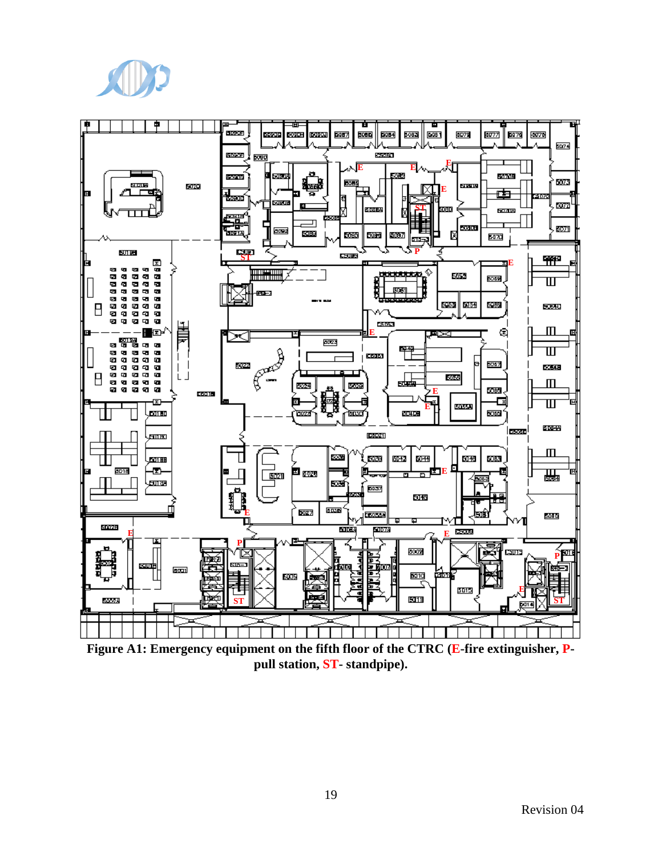



**Figure A1: Emergency equipment on the fifth floor of the CTRC (E-fire extinguisher, Ppull station, ST- standpipe).**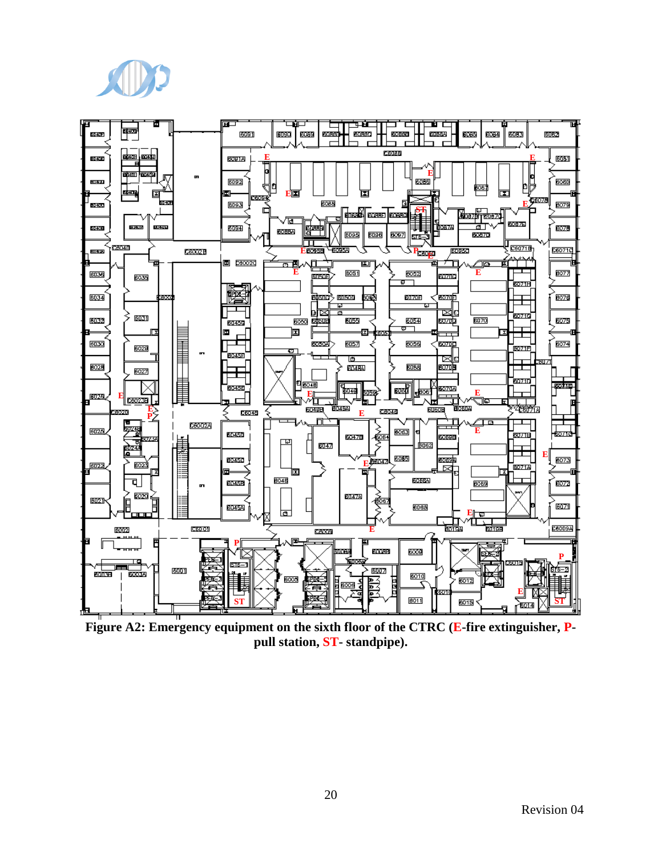



**Figure A2: Emergency equipment on the sixth floor of the CTRC (E-fire extinguisher, Ppull station, ST- standpipe).**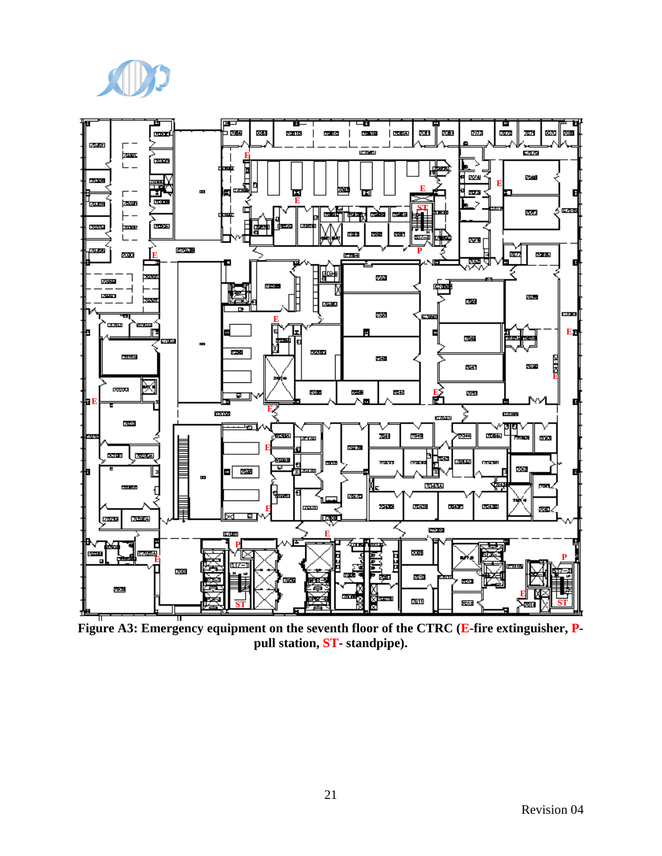



Figure A3: Emergency equipment on the seventh floor of the CTRC (E-fire extinguisher, P**pull station, ST- standpipe).**